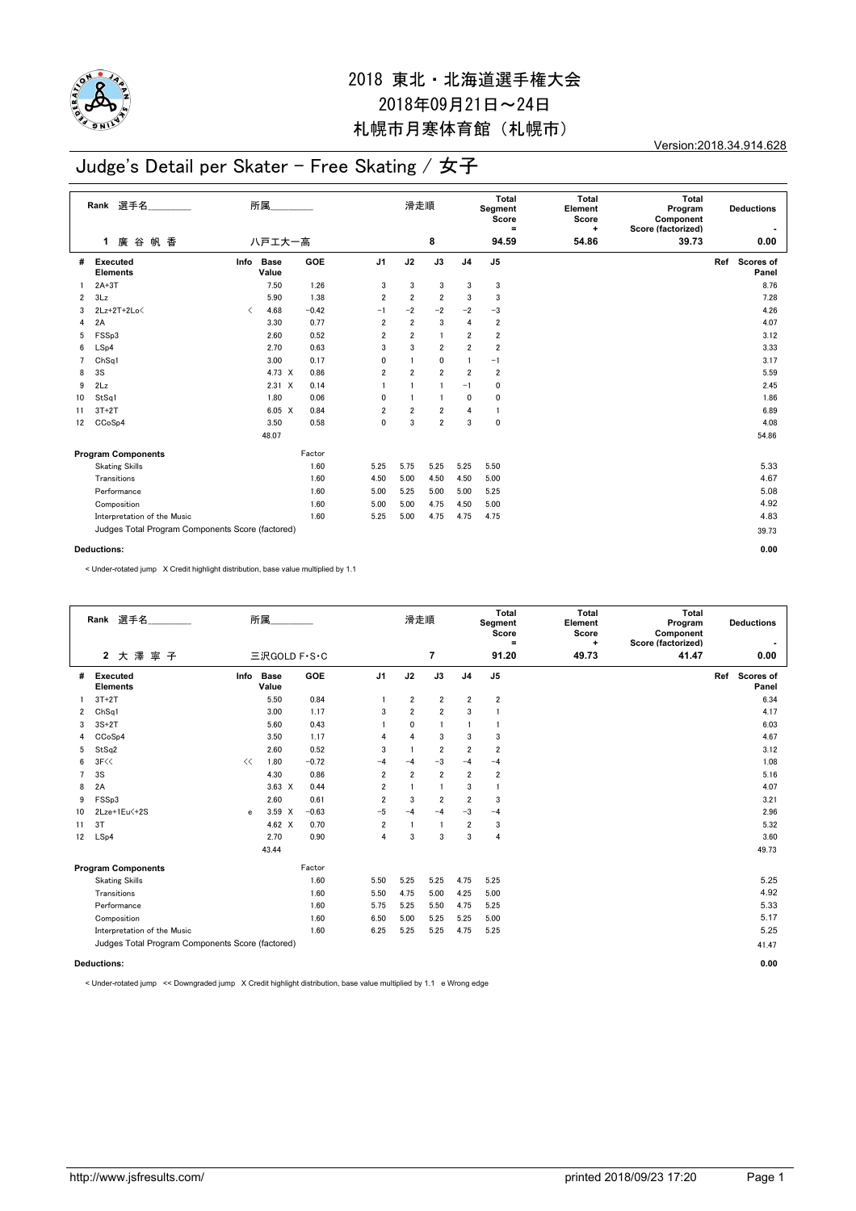

Version:2018.34.914.628

### Judge's Detail per Skater - Free Skating / 女子

|                | Rank 選手名<br>廣谷<br>帆 香<br>$\mathbf{1}$            | 所属<br>八戸エ大一高                             |                      |            |                | 滑走順<br>8                |                |                | Total<br>Segment<br>Score<br>$\equiv$<br>94.59 | <b>Total</b><br>Element<br>Score<br>$\ddot{}$<br>54.86 | Total<br>Program<br>Component<br>Score (factorized)<br>39.73 |     | <b>Deductions</b><br>0.00 |
|----------------|--------------------------------------------------|------------------------------------------|----------------------|------------|----------------|-------------------------|----------------|----------------|------------------------------------------------|--------------------------------------------------------|--------------------------------------------------------------|-----|---------------------------|
|                |                                                  |                                          |                      |            |                |                         |                |                |                                                |                                                        |                                                              |     |                           |
| #              | Executed<br><b>Elements</b>                      | Info                                     | <b>Base</b><br>Value | <b>GOE</b> | J <sub>1</sub> | J2                      | J3             | J <sub>4</sub> | J5                                             |                                                        |                                                              | Ref | <b>Scores of</b><br>Panel |
| 1.             | $2A+3T$                                          |                                          | 7.50                 | 1.26       | 3              | 3                       | 3              | 3              | 3                                              |                                                        |                                                              |     | 8.76                      |
| $\overline{2}$ | 3Lz                                              |                                          | 5.90                 | 1.38       | $\overline{2}$ | $\overline{\mathbf{2}}$ | $\overline{2}$ | 3              | 3                                              |                                                        |                                                              |     | 7.28                      |
| 3              | $2Lz+2T+2Lo\leq$                                 | $\overline{\left\langle \right\rangle }$ | 4.68                 | $-0.42$    | $-1$           | $-2$                    | $-2$           | $-2$           | $-3$                                           |                                                        |                                                              |     | 4.26                      |
| 4              | 2A                                               |                                          | 3.30                 | 0.77       | $\overline{2}$ | $\overline{2}$          | 3              | $\overline{4}$ | $\overline{2}$                                 |                                                        |                                                              |     | 4.07                      |
| 5              | FSSp3                                            |                                          | 2.60                 | 0.52       | $\overline{2}$ | $\overline{2}$          | $\mathbf{1}$   | $\overline{2}$ | $\overline{\mathbf{2}}$                        |                                                        |                                                              |     | 3.12                      |
| 6              | LSp4                                             |                                          | 2.70                 | 0.63       | 3              | 3                       | $\overline{2}$ | $\overline{2}$ | $\overline{\mathbf{2}}$                        |                                                        |                                                              |     | 3.33                      |
| $\overline{7}$ | Ch <sub>Sq1</sub>                                |                                          | 3.00                 | 0.17       | 0              |                         | 0              | 1              | $-1$                                           |                                                        |                                                              |     | 3.17                      |
| 8              | 3S                                               |                                          | 4.73 X               | 0.86       | $\overline{2}$ | $\overline{2}$          | $\overline{2}$ | $\overline{2}$ | $\overline{2}$                                 |                                                        |                                                              |     | 5.59                      |
| 9              | 2Lz                                              |                                          | $2.31 \times$        | 0.14       |                |                         | $\mathbf{1}$   | $-1$           | 0                                              |                                                        |                                                              |     | 2.45                      |
| 10             | StSq1                                            |                                          | 1.80                 | 0.06       | 0              |                         | $\overline{1}$ | $\mathbf{0}$   | 0                                              |                                                        |                                                              |     | 1.86                      |
| 11             | $3T+2T$                                          |                                          | $6.05 \quad X$       | 0.84       | $\overline{2}$ | $\overline{2}$          | $\overline{2}$ | $\overline{4}$ | $\mathbf{1}$                                   |                                                        |                                                              |     | 6.89                      |
| 12             | CCoSp4                                           |                                          | 3.50                 | 0.58       | $\mathbf 0$    | 3                       | $\overline{2}$ | 3              | 0                                              |                                                        |                                                              |     | 4.08                      |
|                |                                                  |                                          | 48.07                |            |                |                         |                |                |                                                |                                                        |                                                              |     | 54.86                     |
|                | <b>Program Components</b>                        |                                          |                      | Factor     |                |                         |                |                |                                                |                                                        |                                                              |     |                           |
|                | <b>Skating Skills</b>                            |                                          |                      | 1.60       | 5.25           | 5.75                    | 5.25           | 5.25           | 5.50                                           |                                                        |                                                              |     | 5.33                      |
|                | Transitions                                      |                                          |                      | 1.60       | 4.50           | 5.00                    | 4.50           | 4.50           | 5.00                                           |                                                        |                                                              |     | 4.67                      |
|                | Performance                                      |                                          |                      | 1.60       | 5.00           | 5.25                    | 5.00           | 5.00           | 5.25                                           |                                                        |                                                              |     | 5.08                      |
|                | Composition                                      |                                          |                      | 1.60       | 5.00           | 5.00                    | 4.75           | 4.50           | 5.00                                           |                                                        |                                                              |     | 4.92                      |
|                | Interpretation of the Music                      |                                          |                      | 1.60       | 5.25           | 5.00                    | 4.75           | 4.75           | 4.75                                           |                                                        |                                                              |     | 4.83                      |
|                | Judges Total Program Components Score (factored) |                                          |                      |            |                |                         |                |                |                                                | 39.73                                                  |                                                              |     |                           |
|                | <b>Deductions:</b>                               |                                          |                      |            |                |                         |                |                |                                                |                                                        | 0.00                                                         |     |                           |

< Under-rotated jump X Credit highlight distribution, base value multiplied by 1.1

|                                                  | Rank 選手名<br>2 大澤寧子                 |      | 所属                   |         |                         | 滑走順                     | $\overline{7}$ |                         | Total<br>Segment<br>Score<br>$\equiv$<br>91.20 | <b>Total</b><br>Element<br>Score<br>$\ddot{}$<br>49.73 | Total<br>Program<br>Component<br>Score (factorized)<br>41.47 | <b>Deductions</b><br>$\blacksquare$<br>0.00 |
|--------------------------------------------------|------------------------------------|------|----------------------|---------|-------------------------|-------------------------|----------------|-------------------------|------------------------------------------------|--------------------------------------------------------|--------------------------------------------------------------|---------------------------------------------|
|                                                  |                                    |      | 三沢GOLD F·S·C         |         |                         |                         |                |                         |                                                |                                                        |                                                              |                                             |
| #                                                | <b>Executed</b><br><b>Elements</b> | Info | <b>Base</b><br>Value | GOE     | J1                      | J2                      | J3             | J <sub>4</sub>          | J <sub>5</sub>                                 |                                                        |                                                              | Scores of<br>Ref<br>Panel                   |
|                                                  | $3T+2T$                            |      | 5.50                 | 0.84    |                         | $\overline{\mathbf{2}}$ | $\overline{2}$ | $\overline{2}$          | $\boldsymbol{2}$                               |                                                        |                                                              | 6.34                                        |
| 2                                                | Ch <sub>Sq1</sub>                  |      | 3.00                 | 1.17    | 3                       | $\overline{2}$          | $\overline{2}$ | 3                       |                                                |                                                        |                                                              | 4.17                                        |
| 3                                                | $3S+2T$                            |      | 5.60                 | 0.43    |                         | 0                       | $\mathbf{1}$   |                         | 1                                              |                                                        |                                                              | 6.03                                        |
| 4                                                | CCoSp4                             |      | 3.50                 | 1.17    | 4                       | 4                       | 3              | 3                       | 3                                              |                                                        |                                                              | 4.67                                        |
| 5                                                | StSq2                              |      | 2.60                 | 0.52    | 3                       | $\overline{1}$          | $\overline{2}$ | $\overline{2}$          | $\overline{2}$                                 |                                                        |                                                              | 3.12                                        |
| 6                                                | 3F<<                               | <<   | 1.80                 | $-0.72$ | $-4$                    | $-4$                    | $-3$           | $-4$                    | $-4$                                           |                                                        |                                                              | 1.08                                        |
| $\overline{7}$                                   | 3S                                 |      | 4.30                 | 0.86    | 2                       | $\overline{2}$          | $\overline{2}$ | $\overline{2}$          | $\overline{2}$                                 |                                                        |                                                              | 5.16                                        |
| 8                                                | 2A                                 |      | $3.63 \times$        | 0.44    | 2                       | $\mathbf{1}$            | 1              | 3                       | $\mathbf{1}$                                   |                                                        |                                                              | 4.07                                        |
| 9                                                | FSSp3                              |      | 2.60                 | 0.61    | $\overline{\mathbf{2}}$ | 3                       | $\overline{2}$ | $\overline{\mathbf{2}}$ | 3                                              |                                                        |                                                              | 3.21                                        |
| 10                                               | 2Lze+1Eu<+2S                       | e    | $3.59 \times$        | $-0.63$ | $-5$                    | $-4$                    | $-4$           | $-3$                    | $-4$                                           |                                                        |                                                              | 2.96                                        |
| 11                                               | 3T                                 |      | 4.62 $\times$        | 0.70    | $\overline{2}$          | $\overline{1}$          | $\mathbf{1}$   | $\overline{2}$          | 3                                              |                                                        |                                                              | 5.32                                        |
| 12                                               | LSp4                               |      | 2.70                 | 0.90    | 4                       | 3                       | 3              | 3                       | 4                                              |                                                        |                                                              | 3.60                                        |
|                                                  |                                    |      | 43.44                |         |                         |                         |                |                         |                                                |                                                        |                                                              | 49.73                                       |
|                                                  | <b>Program Components</b>          |      |                      | Factor  |                         |                         |                |                         |                                                |                                                        |                                                              |                                             |
|                                                  | <b>Skating Skills</b>              |      |                      | 1.60    | 5.50                    | 5.25                    | 5.25           | 4.75                    | 5.25                                           |                                                        |                                                              | 5.25                                        |
|                                                  | Transitions                        |      |                      | 1.60    | 5.50                    | 4.75                    | 5.00           | 4.25                    | 5.00                                           |                                                        |                                                              | 4.92                                        |
|                                                  | Performance                        |      |                      | 1.60    | 5.75                    | 5.25                    | 5.50           | 4.75                    | 5.25                                           |                                                        |                                                              | 5.33                                        |
|                                                  | Composition                        |      |                      | 1.60    | 6.50                    | 5.00                    | 5.25           | 5.25                    | 5.00                                           |                                                        |                                                              | 5.17                                        |
|                                                  | Interpretation of the Music        |      |                      | 1.60    | 6.25                    | 5.25                    | 5.25           | 4.75                    | 5.25                                           |                                                        |                                                              | 5.25                                        |
| Judges Total Program Components Score (factored) |                                    |      |                      |         |                         |                         |                |                         |                                                |                                                        |                                                              | 41.47                                       |
|                                                  | <b>Deductions:</b>                 |      |                      |         |                         |                         |                |                         |                                                |                                                        | 0.00                                                         |                                             |

< Under-rotated jump << Downgraded jump X Credit highlight distribution, base value multiplied by 1.1 e Wrong edge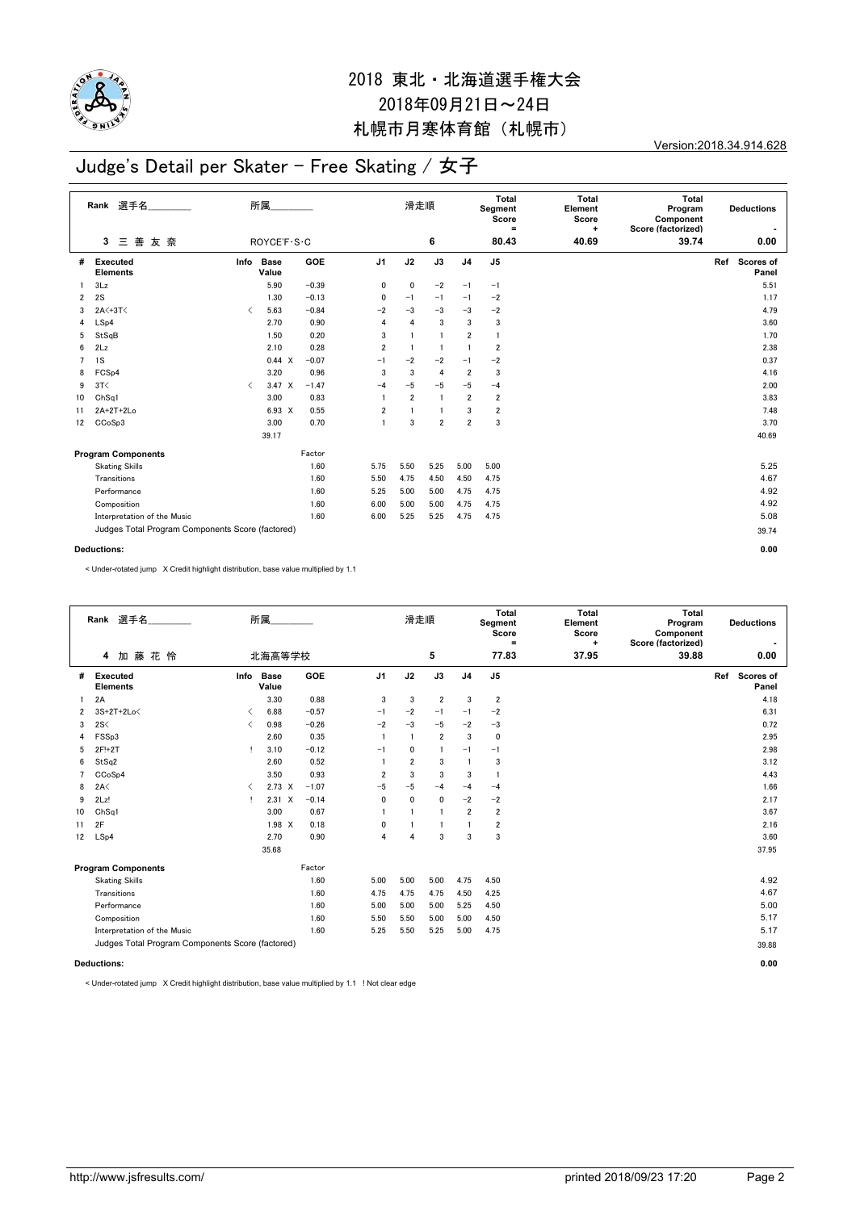

Version:2018.34.914.628

### Judge's Detail per Skater - Free Skating / 女子

|                                                  | Rank 選手名<br>三善<br>友奈<br>3   | 所属<br>ROYCE'F S . C                      |                      |            |                | 滑走順<br>6       |                |                | Total<br>Segment<br>Score<br>$=$<br>80.43 | <b>Total</b><br>Element<br>Score<br>$\ddot{}$<br>40.69 | Total<br>Program<br>Component<br>Score (factorized)<br>39.74 |     | <b>Deductions</b><br>0.00 |
|--------------------------------------------------|-----------------------------|------------------------------------------|----------------------|------------|----------------|----------------|----------------|----------------|-------------------------------------------|--------------------------------------------------------|--------------------------------------------------------------|-----|---------------------------|
|                                                  |                             |                                          |                      |            |                |                |                |                |                                           |                                                        |                                                              |     |                           |
| #                                                | Executed<br><b>Elements</b> | Info                                     | <b>Base</b><br>Value | <b>GOE</b> | J <sub>1</sub> | J2             | J3             | J <sub>4</sub> | J5                                        |                                                        |                                                              | Ref | <b>Scores of</b><br>Panel |
| 1                                                | 3Lz                         |                                          | 5.90                 | $-0.39$    | 0              | 0              | $-2$           | $-1$           | $-1$                                      |                                                        |                                                              |     | 5.51                      |
| $\overline{2}$                                   | 2S                          |                                          | 1.30                 | $-0.13$    | 0              | $-1$           | $-1$           | $-1$           | $-2$                                      |                                                        |                                                              |     | 1.17                      |
| 3                                                | 2A<+3T<                     | $\overline{\left\langle \right\rangle }$ | 5.63                 | $-0.84$    | $-2$           | $-3$           | $-3$           | $-3$           | $-2$                                      |                                                        |                                                              |     | 4.79                      |
| 4                                                | LSp4                        |                                          | 2.70                 | 0.90       | $\overline{4}$ | 4              | 3              | 3              | 3                                         |                                                        |                                                              |     | 3.60                      |
| 5                                                | StSqB                       |                                          | 1.50                 | 0.20       | 3              |                | $\overline{1}$ | $\overline{2}$ | $\overline{1}$                            |                                                        |                                                              |     | 1.70                      |
| 6                                                | 2Lz                         |                                          | 2.10                 | 0.28       | $\overline{2}$ |                | $\mathbf{1}$   | $\overline{1}$ | 2                                         |                                                        |                                                              |     | 2.38                      |
| $\overline{7}$                                   | 1S                          |                                          | 0.44 X               | $-0.07$    | $-1$           | $-2$           | $-2$           | $-1$           | $-2$                                      |                                                        |                                                              |     | 0.37                      |
| 8                                                | FCS <sub>p4</sub>           |                                          | 3.20                 | 0.96       | 3              | 3              | $\overline{4}$ | $\overline{2}$ | 3                                         |                                                        |                                                              |     | 4.16                      |
| 9                                                | 3T<                         | $\overline{\left\langle \right\rangle }$ | $3.47 \times$        | $-1.47$    | $-4$           | $-5$           | $-5$           | $-5$           | $-4$                                      |                                                        |                                                              |     | 2.00                      |
| 10                                               | ChSq1                       |                                          | 3.00                 | 0.83       | $\mathbf{1}$   | $\overline{2}$ | $\overline{1}$ | $\overline{2}$ | $\overline{2}$                            |                                                        |                                                              |     | 3.83                      |
| 11                                               | $2A+2T+2Lo$                 |                                          | 6.93 X               | 0.55       | $\overline{2}$ |                | $\mathbf{1}$   | 3              | $\overline{\mathbf{2}}$                   |                                                        |                                                              |     | 7.48                      |
| 12                                               | CCoSp3                      |                                          | 3.00                 | 0.70       | $\mathbf{1}$   | 3              | $\overline{2}$ | $\overline{2}$ | 3                                         |                                                        |                                                              |     | 3.70                      |
|                                                  |                             |                                          | 39.17                |            |                |                |                |                |                                           |                                                        |                                                              |     | 40.69                     |
|                                                  | <b>Program Components</b>   |                                          |                      | Factor     |                |                |                |                |                                           |                                                        |                                                              |     |                           |
|                                                  | <b>Skating Skills</b>       |                                          |                      | 1.60       | 5.75           | 5.50           | 5.25           | 5.00           | 5.00                                      |                                                        |                                                              |     | 5.25                      |
|                                                  | Transitions                 |                                          |                      | 1.60       | 5.50           | 4.75           | 4.50           | 4.50           | 4.75                                      |                                                        |                                                              |     | 4.67                      |
|                                                  | Performance                 |                                          |                      | 1.60       | 5.25           | 5.00           | 5.00           | 4.75           | 4.75                                      |                                                        |                                                              |     | 4.92                      |
|                                                  | Composition                 |                                          |                      | 1.60       | 6.00           | 5.00           | 5.00           | 4.75           | 4.75                                      |                                                        |                                                              |     | 4.92                      |
|                                                  | Interpretation of the Music |                                          |                      | 1.60       | 6.00           | 5.25           | 5.25           | 4.75           | 4.75                                      |                                                        |                                                              |     | 5.08                      |
| Judges Total Program Components Score (factored) |                             |                                          |                      |            |                |                |                |                |                                           |                                                        |                                                              |     | 39.74                     |
|                                                  | <b>Deductions:</b>          |                                          |                      |            |                |                |                |                |                                           |                                                        | 0.00                                                         |     |                           |

< Under-rotated jump X Credit highlight distribution, base value multiplied by 1.1

|                | Rank 選手名<br>加藤花怜<br>4                            |                          | 所属<br>北海高等学校         |         |                | 滑走順            | 5              |                | Total<br>Segment<br>Score<br>$\equiv$<br>77.83 | <b>Total</b><br>Element<br>Score<br>۰<br>37.95 | Total<br>Program<br>Component<br>Score (factorized)<br>39.88 | <b>Deductions</b><br>0.00 |
|----------------|--------------------------------------------------|--------------------------|----------------------|---------|----------------|----------------|----------------|----------------|------------------------------------------------|------------------------------------------------|--------------------------------------------------------------|---------------------------|
| #              | <b>Executed</b><br><b>Elements</b>               | Info                     | <b>Base</b><br>Value | GOE     | J <sub>1</sub> | J2             | J3             | J <sub>4</sub> | J <sub>5</sub>                                 |                                                |                                                              | Ref<br>Scores of<br>Panel |
|                | 2A                                               |                          | 3.30                 | 0.88    | 3              | 3              | $\overline{2}$ | 3              | $\overline{2}$                                 |                                                |                                                              | 4.18                      |
| $\overline{2}$ | 3S+2T+2Lo<                                       | ≺                        | 6.88                 | $-0.57$ | $-1$           | $-2$           | $-1$           | $-1$           | $-2$                                           |                                                |                                                              | 6.31                      |
| 3              | 2S<                                              | $\overline{\phantom{a}}$ | 0.98                 | $-0.26$ | $-2$           | $-3$           | $-5$           | $-2$           | $-3$                                           |                                                |                                                              | 0.72                      |
| 4              | FSSp3                                            |                          | 2.60                 | 0.35    | $\mathbf{1}$   | $\mathbf{1}$   | $\overline{2}$ | 3              | 0                                              |                                                |                                                              | 2.95                      |
| 5              | 2F!+2T                                           |                          | 3.10                 | $-0.12$ | $-1$           | 0              | $\mathbf{1}$   | $-1$           | $-1$                                           |                                                |                                                              | 2.98                      |
| 6              | StSq2                                            |                          | 2.60                 | 0.52    | $\mathbf{1}$   | $\overline{2}$ | 3              | $\overline{1}$ | 3                                              |                                                |                                                              | 3.12                      |
| 7              | CCoSp4                                           |                          | 3.50                 | 0.93    | $\overline{2}$ | 3              | 3              | 3              | $\overline{1}$                                 |                                                |                                                              | 4.43                      |
| 8              | 2A<                                              | ≺                        | $2.73 \times$        | $-1.07$ | $-5$           | $-5$           | $-4$           | $-4$           | $-4$                                           |                                                |                                                              | 1.66                      |
| 9              | 2Lz!                                             | $\mathbf{I}$             | $2.31 \times$        | $-0.14$ | 0              | $\mathbf 0$    | $\mathbf 0$    | $-2$           | $-2$                                           |                                                |                                                              | 2.17                      |
| 10             | ChSq1                                            |                          | 3.00                 | 0.67    | $\mathbf{1}$   | $\mathbf{1}$   | $\overline{1}$ | $\overline{2}$ | $\overline{2}$                                 |                                                |                                                              | 3.67                      |
| 11             | 2F                                               |                          | $1.98$ X             | 0.18    | 0              | $\mathbf{1}$   | 1              | $\mathbf{1}$   | $\overline{\mathbf{2}}$                        |                                                |                                                              | 2.16                      |
| 12             | LSp4                                             |                          | 2.70                 | 0.90    | 4              | 4              | 3              | 3              | 3                                              |                                                |                                                              | 3.60                      |
|                |                                                  |                          | 35.68                |         |                |                |                |                |                                                |                                                |                                                              | 37.95                     |
|                | <b>Program Components</b>                        |                          |                      | Factor  |                |                |                |                |                                                |                                                |                                                              |                           |
|                | <b>Skating Skills</b>                            |                          |                      | 1.60    | 5.00           | 5.00           | 5.00           | 4.75           | 4.50                                           |                                                |                                                              | 4.92                      |
|                | Transitions                                      |                          |                      | 1.60    | 4.75           | 4.75           | 4.75           | 4.50           | 4.25                                           |                                                |                                                              | 4.67                      |
|                | Performance                                      |                          |                      | 1.60    | 5.00           | 5.00           | 5.00           | 5.25           | 4.50                                           |                                                |                                                              | 5.00                      |
|                | Composition                                      |                          |                      | 1.60    | 5.50           | 5.50           | 5.00           | 5.00           | 4.50                                           |                                                |                                                              | 5.17                      |
|                | Interpretation of the Music                      |                          |                      | 1.60    | 5.25           | 5.50           | 5.25           | 5.00           | 4.75                                           |                                                |                                                              | 5.17                      |
|                | Judges Total Program Components Score (factored) |                          |                      |         |                |                |                |                |                                                |                                                |                                                              | 39.88                     |
|                | <b>Deductions:</b>                               |                          |                      |         |                |                |                |                | 0.00                                           |                                                |                                                              |                           |

< Under-rotated jump X Credit highlight distribution, base value multiplied by 1.1 ! Not clear edge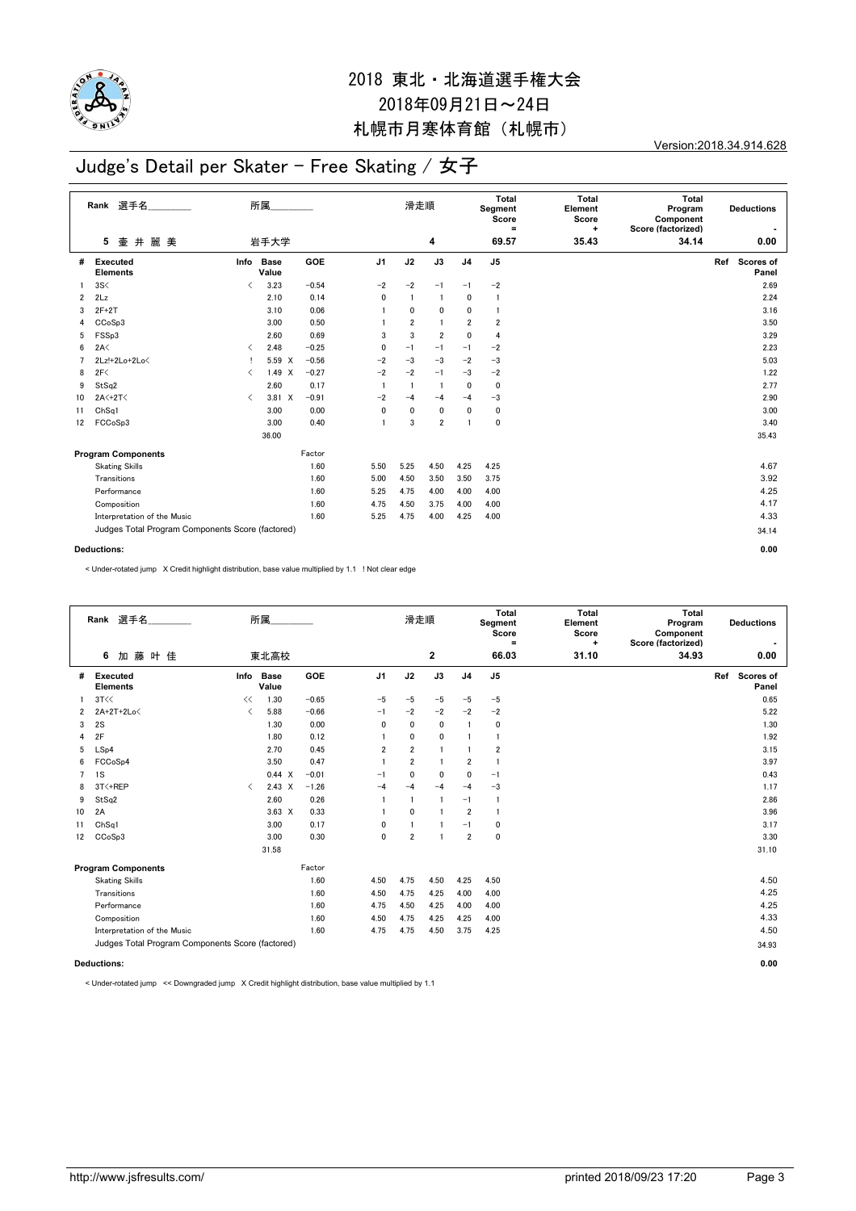

Version:2018.34.914.628

### Judge's Detail per Skater - Free Skating / 女子

|                | Rank 選手名                                         | 所属                                       |                      |            |                | 滑走順            |                |                | Total<br>Segment<br>Score<br>$\equiv$ | Total<br>Element<br>Score<br>÷ | <b>Total</b><br>Program<br>Component<br>Score (factorized) |                                  |
|----------------|--------------------------------------------------|------------------------------------------|----------------------|------------|----------------|----------------|----------------|----------------|---------------------------------------|--------------------------------|------------------------------------------------------------|----------------------------------|
|                | 壷 井<br>麗美<br>5                                   |                                          | 岩手大学                 |            |                |                | 4              |                | 69.57                                 | 35.43                          | 34.14                                                      | 0.00                             |
| #              | Executed<br><b>Elements</b>                      | Info                                     | <b>Base</b><br>Value | <b>GOE</b> | J <sub>1</sub> | J2             | J3             | J <sub>4</sub> | J5                                    |                                |                                                            | <b>Scores of</b><br>Ref<br>Panel |
| 1.             | 3S<                                              | $\langle$                                | 3.23                 | $-0.54$    | $-2$           | $-2$           | $-1$           | $-1$           | $-2$                                  |                                |                                                            | 2.69                             |
| $\overline{2}$ | 2Lz                                              |                                          | 2.10                 | 0.14       | 0              | -1             | $\overline{1}$ | 0              | 1                                     |                                |                                                            | 2.24                             |
| 3              | $2F+2T$                                          |                                          | 3.10                 | 0.06       |                | 0              | $\mathbf 0$    | 0              | 1                                     |                                |                                                            | 3.16                             |
| 4              | CCoSp3                                           |                                          | 3.00                 | 0.50       |                | $\overline{2}$ | $\overline{1}$ | $\overline{2}$ | 2                                     |                                |                                                            | 3.50                             |
| 5              | FSSp3                                            |                                          | 2.60                 | 0.69       | 3              | 3              | $\overline{2}$ | $\mathbf 0$    | 4                                     |                                |                                                            | 3.29                             |
| 6              | 2A<                                              | $\overline{\left\langle \right\rangle }$ | 2.48                 | $-0.25$    | $\mathbf{0}$   | $-1$           | $-1$           | $-1$           | $-2$                                  |                                |                                                            | 2.23                             |
|                | 2Lz!+2Lo+2Lo<                                    |                                          | 5.59 X               | $-0.56$    | $-2$           | $-3$           | $-3$           | $-2$           | $-3$                                  |                                |                                                            | 5.03                             |
| 8              | 2F<                                              | $\overline{\left\langle \right\rangle }$ | 1.49 X               | $-0.27$    | $-2$           | $-2$           | $-1$           | $-3$           | $-2$                                  |                                |                                                            | 1.22                             |
| 9              | StSq2                                            |                                          | 2.60                 | 0.17       | $\overline{1}$ | -1             | $\overline{1}$ | 0              | 0                                     |                                |                                                            | 2.77                             |
| 10             | $2A<+2T<$                                        | $\overline{\left\langle \right\rangle }$ | 3.81 X               | $-0.91$    | $-2$           | $-4$           | $-4$           | $-4$           | $-3$                                  |                                |                                                            | 2.90                             |
| 11             | Ch <sub>Sq1</sub>                                |                                          | 3.00                 | 0.00       | $\mathbf{0}$   | 0              | $\mathbf 0$    | 0              | 0                                     |                                |                                                            | 3.00                             |
| 12             | FCCoSp3                                          |                                          | 3.00                 | 0.40       | $\mathbf{1}$   | 3              | $\overline{2}$ | 1              | 0                                     |                                |                                                            | 3.40                             |
|                |                                                  |                                          | 36.00                |            |                |                |                |                |                                       |                                |                                                            | 35.43                            |
|                | <b>Program Components</b>                        |                                          |                      | Factor     |                |                |                |                |                                       |                                |                                                            |                                  |
|                | <b>Skating Skills</b>                            |                                          |                      | 1.60       | 5.50           | 5.25           | 4.50           | 4.25           | 4.25                                  |                                |                                                            | 4.67                             |
|                | Transitions                                      |                                          |                      | 1.60       | 5.00           | 4.50           | 3.50           | 3.50           | 3.75                                  |                                |                                                            | 3.92                             |
|                | Performance                                      |                                          |                      | 1.60       | 5.25           | 4.75           | 4.00           | 4.00           | 4.00                                  |                                |                                                            | 4.25                             |
|                | Composition                                      |                                          |                      | 1.60       | 4.75           | 4.50           | 3.75           | 4.00           | 4.00                                  |                                |                                                            | 4.17                             |
|                | Interpretation of the Music                      |                                          |                      | 1.60       | 5.25           | 4.75           | 4.00           | 4.25           | 4.00                                  |                                |                                                            | 4.33                             |
|                | Judges Total Program Components Score (factored) |                                          |                      |            |                |                |                |                |                                       |                                |                                                            | 34.14                            |
|                | <b>Deductions:</b>                               |                                          |                      |            |                |                |                |                |                                       |                                |                                                            | 0.00                             |

< Under-rotated jump X Credit highlight distribution, base value multiplied by 1.1 ! Not clear edge

|                | Rank 選手名                                         |           | 所属                 |         | 滑走順                     |                |                | Total<br>Segment<br>Score<br>$\equiv$ | <b>Total</b><br>Element<br>Score<br>۰ | Total<br>Program<br>Component<br>Score (factorized) | <b>Deductions</b><br>$\blacksquare$ |                        |
|----------------|--------------------------------------------------|-----------|--------------------|---------|-------------------------|----------------|----------------|---------------------------------------|---------------------------------------|-----------------------------------------------------|-------------------------------------|------------------------|
|                | 加藤叶佳<br>6                                        |           | 東北高校               |         |                         |                | 2              |                                       | 66.03                                 | 31.10                                               | 34.93                               | 0.00                   |
| #              | Executed<br><b>Elements</b>                      |           | Info Base<br>Value | GOE     | J <sub>1</sub>          | J2             | J3             | J <sub>4</sub>                        | J <sub>5</sub>                        |                                                     |                                     | Ref Scores of<br>Panel |
|                | 3T<<                                             | <<        | 1.30               | $-0.65$ | $-5$                    | $-5$           | $-5$           | $-5$                                  | $-5$                                  |                                                     |                                     | 0.65                   |
| $\overline{2}$ | 2A+2T+2Lo<                                       | ✓         | 5.88               | $-0.66$ | $-1$                    | $-2$           | $-2$           | $-2$                                  | $-2$                                  |                                                     |                                     | 5.22                   |
| 3              | 2S                                               |           | 1.30               | 0.00    | 0                       | 0              | $\mathbf 0$    | $\overline{1}$                        | 0                                     |                                                     |                                     | 1.30                   |
| 4              | 2F                                               |           | 1.80               | 0.12    |                         | 0              | 0              | 1                                     | $\mathbf{1}$                          |                                                     |                                     | 1.92                   |
| 5              | LSp4                                             |           | 2.70               | 0.45    | $\overline{\mathbf{2}}$ | $\overline{2}$ | $\mathbf{1}$   | 1                                     | 2                                     |                                                     |                                     | 3.15                   |
| 6              | FCCoSp4                                          |           | 3.50               | 0.47    |                         | $\overline{2}$ | $\mathbf{1}$   | $\overline{2}$                        | $\mathbf{1}$                          |                                                     |                                     | 3.97                   |
| $\overline{7}$ | 1S                                               |           | $0.44 \times$      | $-0.01$ | -1                      | 0              | 0              | 0                                     | $-1$                                  |                                                     |                                     | 0.43                   |
| 8              | 3T<+REP                                          | $\langle$ | $2.43 \times$      | $-1.26$ | $-4$                    | $-4$           | $-4$           | $-4$                                  | $-3$                                  |                                                     |                                     | 1.17                   |
| 9              | StSq2                                            |           | 2.60               | 0.26    | $\overline{1}$          | $\overline{1}$ | $\mathbf{1}$   | $-1$                                  | $\overline{1}$                        |                                                     |                                     | 2.86                   |
| 10             | 2A                                               |           | $3.63 \times$      | 0.33    | $\overline{1}$          | $\mathbf{0}$   | $\mathbf{1}$   | $\overline{2}$                        | $\mathbf{1}$                          |                                                     |                                     | 3.96                   |
| 11             | ChSq1                                            |           | 3.00               | 0.17    | 0                       | $\overline{1}$ | $\mathbf{1}$   | $-1$                                  | 0                                     |                                                     |                                     | 3.17                   |
| 12             | CC <sub>o</sub> S <sub>p</sub> 3                 |           | 3.00               | 0.30    | 0                       | $\overline{2}$ | $\overline{1}$ | $\overline{2}$                        | $\mathbf 0$                           |                                                     |                                     | 3.30                   |
|                |                                                  |           | 31.58              |         |                         |                |                |                                       |                                       |                                                     |                                     | 31.10                  |
|                | <b>Program Components</b>                        |           |                    | Factor  |                         |                |                |                                       |                                       |                                                     |                                     |                        |
|                | <b>Skating Skills</b>                            |           |                    | 1.60    | 4.50                    | 4.75           | 4.50           | 4.25                                  | 4.50                                  |                                                     |                                     | 4.50                   |
|                | Transitions                                      |           |                    | 1.60    | 4.50                    | 4.75           | 4.25           | 4.00                                  | 4.00                                  |                                                     |                                     | 4.25                   |
|                | Performance                                      |           |                    | 1.60    | 4.75                    | 4.50           | 4.25           | 4.00                                  | 4.00                                  |                                                     |                                     | 4.25                   |
|                | Composition                                      |           |                    | 1.60    | 4.50                    | 4.75           | 4.25           | 4.25                                  | 4.00                                  |                                                     |                                     | 4.33                   |
|                | Interpretation of the Music                      |           |                    | 1.60    | 4.75                    | 4.75           | 4.50           | 3.75                                  | 4.25                                  |                                                     |                                     | 4.50                   |
|                | Judges Total Program Components Score (factored) |           |                    |         |                         |                |                |                                       |                                       |                                                     |                                     | 34.93                  |
|                |                                                  |           |                    |         |                         |                |                |                                       |                                       |                                                     |                                     |                        |
|                | <b>Deductions:</b>                               |           |                    |         |                         |                |                |                                       |                                       |                                                     |                                     | 0.00                   |

< Under-rotated jump << Downgraded jump X Credit highlight distribution, base value multiplied by 1.1